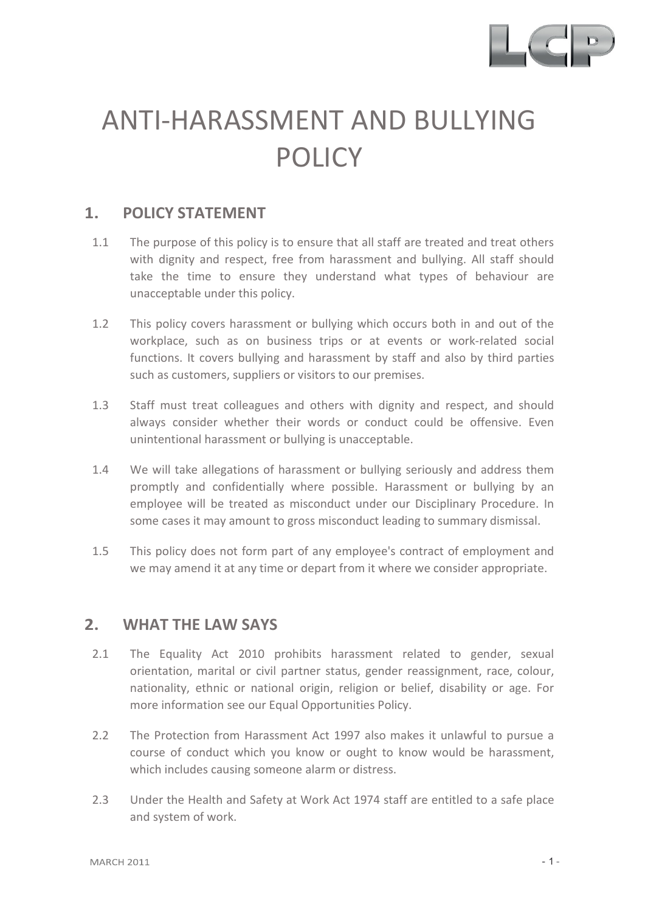

# ANTI-HARASSMENT AND BULLYING POLICY

### **1. POLICY STATEMENT**

- 1.1 The purpose of this policy is to ensure that all staff are treated and treat others with dignity and respect, free from harassment and bullying. All staff should take the time to ensure they understand what types of behaviour are unacceptable under this policy.
- 1.2 This policy covers harassment or bullying which occurs both in and out of the workplace, such as on business trips or at events or work-related social functions. It covers bullying and harassment by staff and also by third parties such as customers, suppliers or visitors to our premises.
- 1.3 Staff must treat colleagues and others with dignity and respect, and should always consider whether their words or conduct could be offensive. Even unintentional harassment or bullying is unacceptable.
- 1.4 We will take allegations of harassment or bullying seriously and address them promptly and confidentially where possible. Harassment or bullying by an employee will be treated as misconduct under our Disciplinary Procedure. In some cases it may amount to gross misconduct leading to summary dismissal.
- 1.5 This policy does not form part of any employee's contract of employment and we may amend it at any time or depart from it where we consider appropriate.

#### **2. WHAT THE LAW SAYS**

- 2.1 The Equality Act 2010 prohibits harassment related to gender, sexual orientation, marital or civil partner status, gender reassignment, race, colour, nationality, ethnic or national origin, religion or belief, disability or age. For more information see our Equal Opportunities Policy.
- 2.2 The Protection from Harassment Act 1997 also makes it unlawful to pursue a course of conduct which you know or ought to know would be harassment, which includes causing someone alarm or distress.
- 2.3 Under the Health and Safety at Work Act 1974 staff are entitled to a safe place and system of work.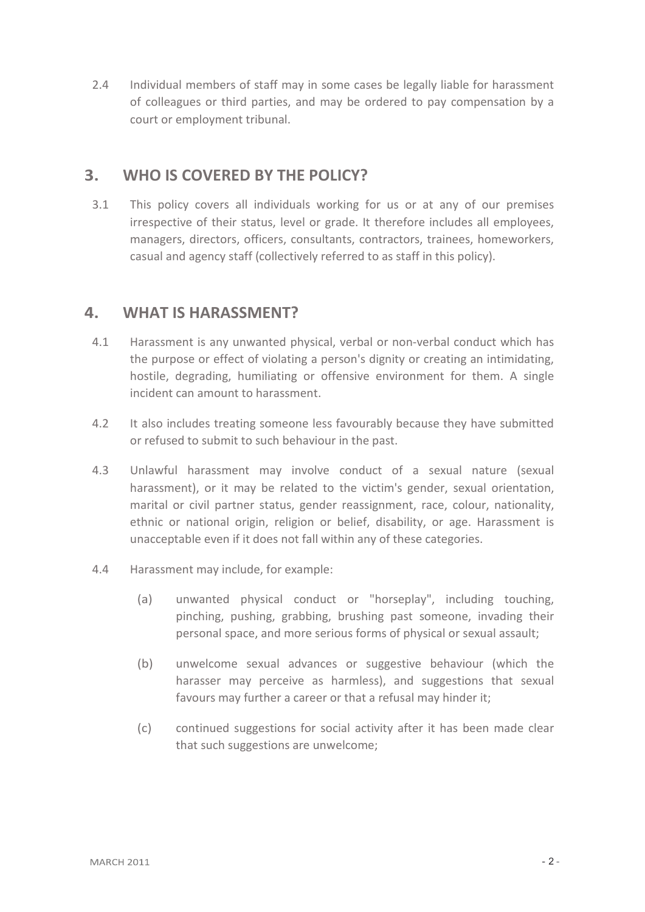2.4 Individual members of staff may in some cases be legally liable for harassment of colleagues or third parties, and may be ordered to pay compensation by a court or employment tribunal.

# **3. WHO IS COVERED BY THE POLICY?**

3.1 This policy covers all individuals working for us or at any of our premises irrespective of their status, level or grade. It therefore includes all employees, managers, directors, officers, consultants, contractors, trainees, homeworkers, casual and agency staff (collectively referred to as staff in this policy).

## **4. WHAT IS HARASSMENT?**

- 4.1 Harassment is any unwanted physical, verbal or non-verbal conduct which has the purpose or effect of violating a person's dignity or creating an intimidating, hostile, degrading, humiliating or offensive environment for them. A single incident can amount to harassment.
- 4.2 It also includes treating someone less favourably because they have submitted or refused to submit to such behaviour in the past.
- 4.3 Unlawful harassment may involve conduct of a sexual nature (sexual harassment), or it may be related to the victim's gender, sexual orientation, marital or civil partner status, gender reassignment, race, colour, nationality, ethnic or national origin, religion or belief, disability, or age. Harassment is unacceptable even if it does not fall within any of these categories.
- 4.4 Harassment may include, for example:
	- (a) unwanted physical conduct or "horseplay", including touching, pinching, pushing, grabbing, brushing past someone, invading their personal space, and more serious forms of physical or sexual assault;
	- (b) unwelcome sexual advances or suggestive behaviour (which the harasser may perceive as harmless), and suggestions that sexual favours may further a career or that a refusal may hinder it;
	- (c) continued suggestions for social activity after it has been made clear that such suggestions are unwelcome;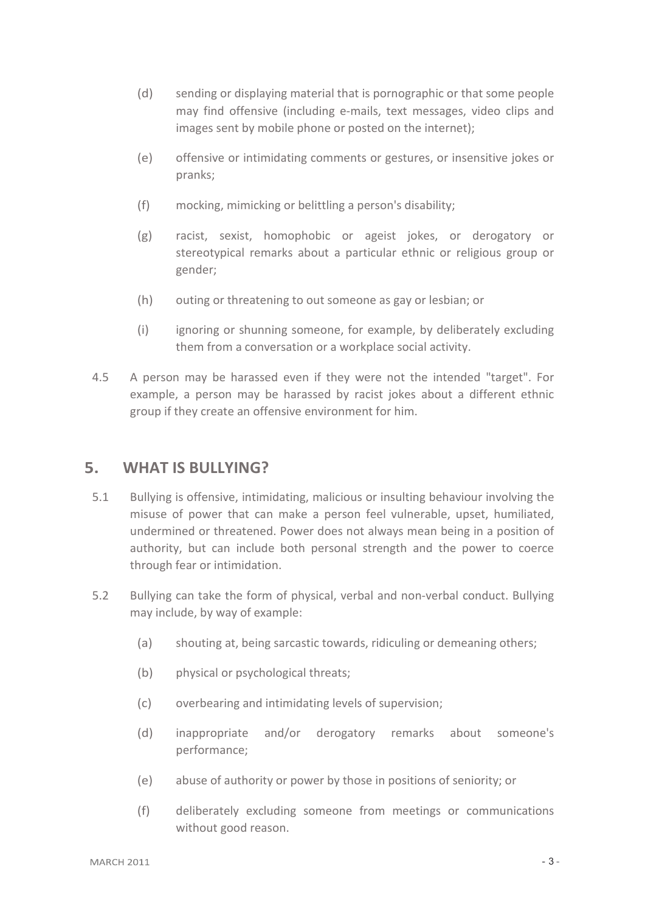- (d) sending or displaying material that is pornographic or that some people may find offensive (including e-mails, text messages, video clips and images sent by mobile phone or posted on the internet);
- (e) offensive or intimidating comments or gestures, or insensitive jokes or pranks;
- (f) mocking, mimicking or belittling a person's disability;
- (g) racist, sexist, homophobic or ageist jokes, or derogatory or stereotypical remarks about a particular ethnic or religious group or gender;
- (h) outing or threatening to out someone as gay or lesbian; or
- (i) ignoring or shunning someone, for example, by deliberately excluding them from a conversation or a workplace social activity.
- 4.5 A person may be harassed even if they were not the intended "target". For example, a person may be harassed by racist jokes about a different ethnic group if they create an offensive environment for him.

#### **5. WHAT IS BULLYING?**

- 5.1 Bullying is offensive, intimidating, malicious or insulting behaviour involving the misuse of power that can make a person feel vulnerable, upset, humiliated, undermined or threatened. Power does not always mean being in a position of authority, but can include both personal strength and the power to coerce through fear or intimidation.
- 5.2 Bullying can take the form of physical, verbal and non-verbal conduct. Bullying may include, by way of example:
	- (a) shouting at, being sarcastic towards, ridiculing or demeaning others;
	- (b) physical or psychological threats;
	- (c) overbearing and intimidating levels of supervision;
	- (d) inappropriate and/or derogatory remarks about someone's performance;
	- (e) abuse of authority or power by those in positions of seniority; or
	- (f) deliberately excluding someone from meetings or communications without good reason.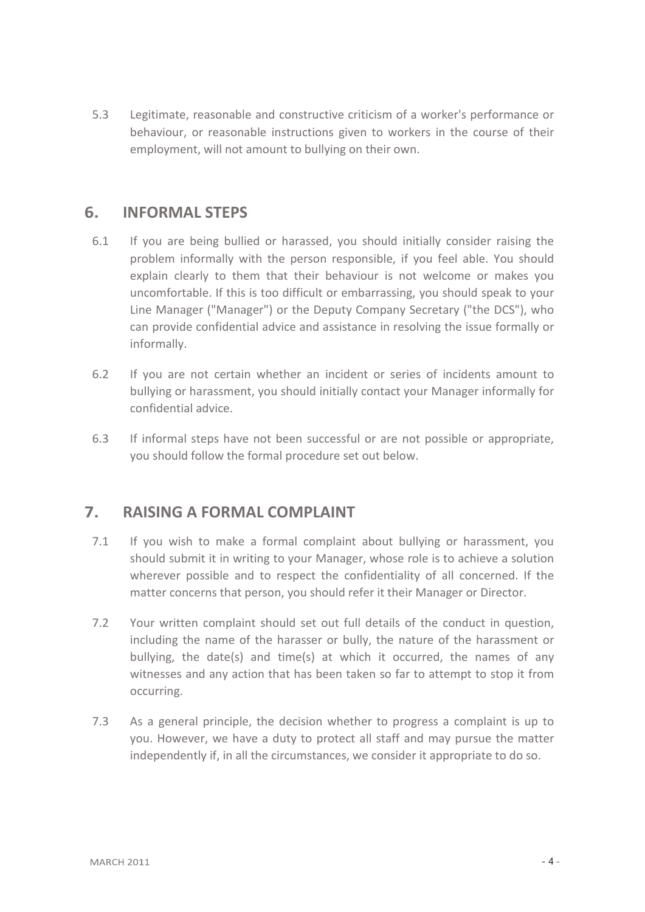5.3 Legitimate, reasonable and constructive criticism of a worker's performance or behaviour, or reasonable instructions given to workers in the course of their employment, will not amount to bullying on their own.

### **6. INFORMAL STEPS**

- 6.1 If you are being bullied or harassed, you should initially consider raising the problem informally with the person responsible, if you feel able. You should explain clearly to them that their behaviour is not welcome or makes you uncomfortable. If this is too difficult or embarrassing, you should speak to your Line Manager ("Manager") or the Deputy Company Secretary ("the DCS"), who can provide confidential advice and assistance in resolving the issue formally or informally.
- 6.2 If you are not certain whether an incident or series of incidents amount to bullying or harassment, you should initially contact your Manager informally for confidential advice.
- 6.3 If informal steps have not been successful or are not possible or appropriate, you should follow the formal procedure set out below.

## **7. RAISING A FORMAL COMPLAINT**

- 7.1 If you wish to make a formal complaint about bullying or harassment, you should submit it in writing to your Manager, whose role is to achieve a solution wherever possible and to respect the confidentiality of all concerned. If the matter concerns that person, you should refer it their Manager or Director.
- 7.2 Your written complaint should set out full details of the conduct in question, including the name of the harasser or bully, the nature of the harassment or bullying, the date(s) and time(s) at which it occurred, the names of any witnesses and any action that has been taken so far to attempt to stop it from occurring.
- 7.3 As a general principle, the decision whether to progress a complaint is up to you. However, we have a duty to protect all staff and may pursue the matter independently if, in all the circumstances, we consider it appropriate to do so.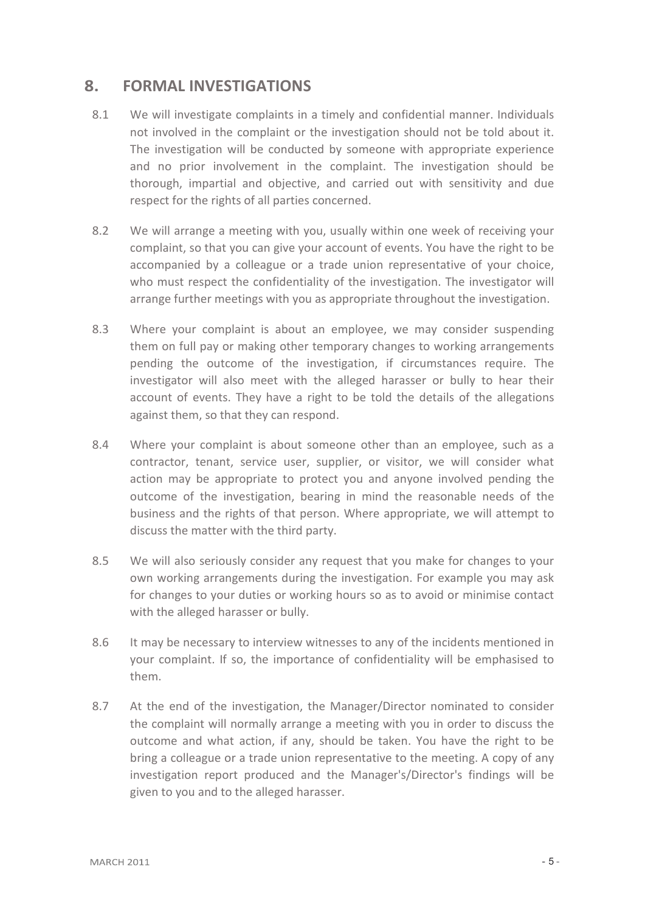### **8. FORMAL INVESTIGATIONS**

- 8.1 We will investigate complaints in a timely and confidential manner. Individuals not involved in the complaint or the investigation should not be told about it. The investigation will be conducted by someone with appropriate experience and no prior involvement in the complaint. The investigation should be thorough, impartial and objective, and carried out with sensitivity and due respect for the rights of all parties concerned.
- 8.2 We will arrange a meeting with you, usually within one week of receiving your complaint, so that you can give your account of events. You have the right to be accompanied by a colleague or a trade union representative of your choice, who must respect the confidentiality of the investigation. The investigator will arrange further meetings with you as appropriate throughout the investigation.
- 8.3 Where your complaint is about an employee, we may consider suspending them on full pay or making other temporary changes to working arrangements pending the outcome of the investigation, if circumstances require. The investigator will also meet with the alleged harasser or bully to hear their account of events. They have a right to be told the details of the allegations against them, so that they can respond.
- 8.4 Where your complaint is about someone other than an employee, such as a contractor, tenant, service user, supplier, or visitor, we will consider what action may be appropriate to protect you and anyone involved pending the outcome of the investigation, bearing in mind the reasonable needs of the business and the rights of that person. Where appropriate, we will attempt to discuss the matter with the third party.
- 8.5 We will also seriously consider any request that you make for changes to your own working arrangements during the investigation. For example you may ask for changes to your duties or working hours so as to avoid or minimise contact with the alleged harasser or bully.
- 8.6 It may be necessary to interview witnesses to any of the incidents mentioned in your complaint. If so, the importance of confidentiality will be emphasised to them.
- 8.7 At the end of the investigation, the Manager/Director nominated to consider the complaint will normally arrange a meeting with you in order to discuss the outcome and what action, if any, should be taken. You have the right to be bring a colleague or a trade union representative to the meeting. A copy of any investigation report produced and the Manager's/Director's findings will be given to you and to the alleged harasser.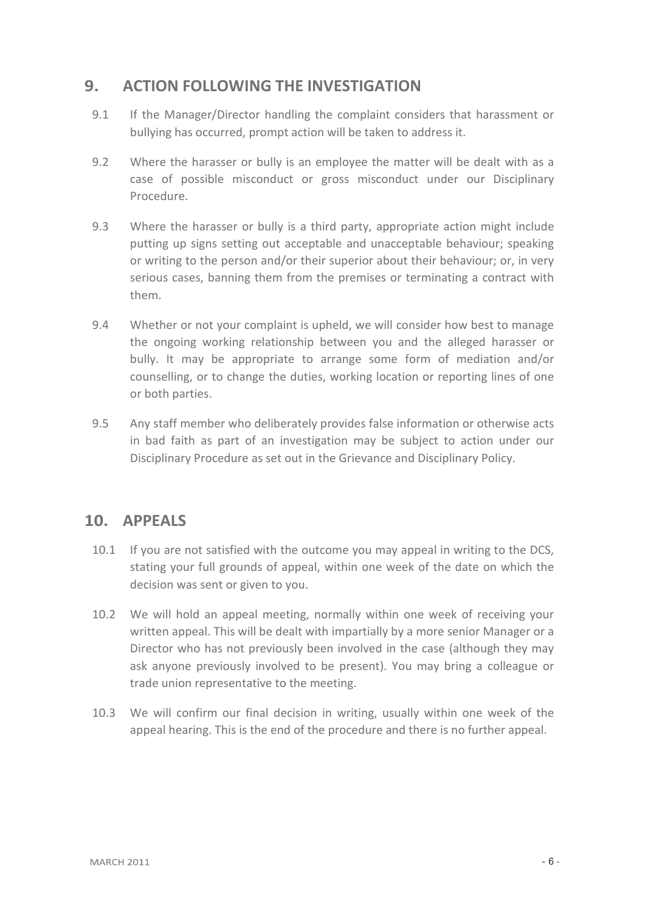# **9. ACTION FOLLOWING THE INVESTIGATION**

- 9.1 If the Manager/Director handling the complaint considers that harassment or bullying has occurred, prompt action will be taken to address it.
- 9.2 Where the harasser or bully is an employee the matter will be dealt with as a case of possible misconduct or gross misconduct under our Disciplinary Procedure.
- 9.3 Where the harasser or bully is a third party, appropriate action might include putting up signs setting out acceptable and unacceptable behaviour; speaking or writing to the person and/or their superior about their behaviour; or, in very serious cases, banning them from the premises or terminating a contract with them.
- 9.4 Whether or not your complaint is upheld, we will consider how best to manage the ongoing working relationship between you and the alleged harasser or bully. It may be appropriate to arrange some form of mediation and/or counselling, or to change the duties, working location or reporting lines of one or both parties.
- 9.5 Any staff member who deliberately provides false information or otherwise acts in bad faith as part of an investigation may be subject to action under our Disciplinary Procedure as set out in the Grievance and Disciplinary Policy.

## **10. APPEALS**

- 10.1 If you are not satisfied with the outcome you may appeal in writing to the DCS, stating your full grounds of appeal, within one week of the date on which the decision was sent or given to you.
- 10.2 We will hold an appeal meeting, normally within one week of receiving your written appeal. This will be dealt with impartially by a more senior Manager or a Director who has not previously been involved in the case (although they may ask anyone previously involved to be present). You may bring a colleague or trade union representative to the meeting.
- 10.3 We will confirm our final decision in writing, usually within one week of the appeal hearing. This is the end of the procedure and there is no further appeal.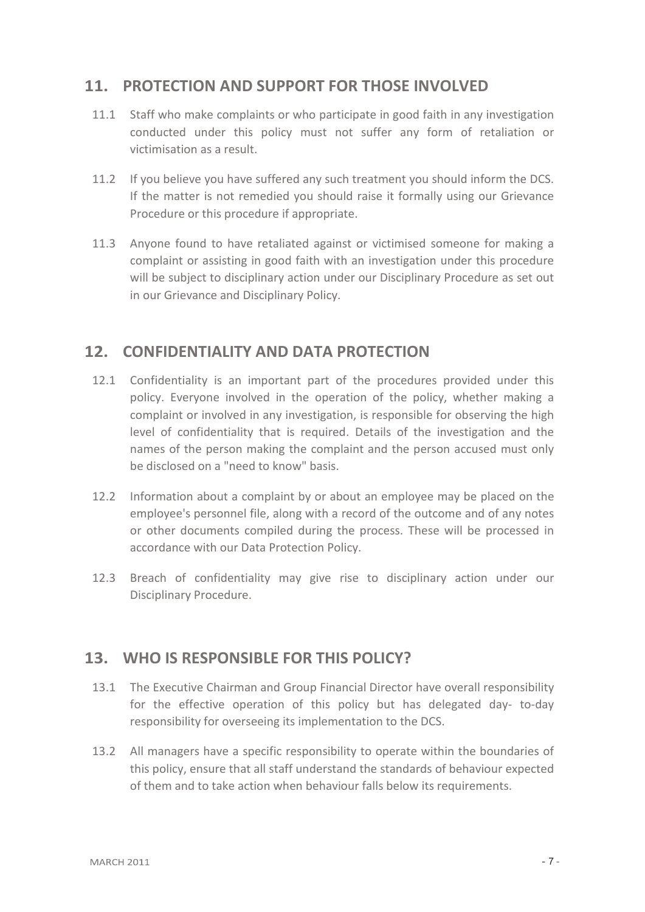# **11. PROTECTION AND SUPPORT FOR THOSE INVOLVED**

- 11.1 Staff who make complaints or who participate in good faith in any investigation conducted under this policy must not suffer any form of retaliation or victimisation as a result.
- 11.2 If you believe you have suffered any such treatment you should inform the DCS. If the matter is not remedied you should raise it formally using our Grievance Procedure or this procedure if appropriate.
- 11.3 Anyone found to have retaliated against or victimised someone for making a complaint or assisting in good faith with an investigation under this procedure will be subject to disciplinary action under our Disciplinary Procedure as set out in our Grievance and Disciplinary Policy.

## **12. CONFIDENTIALITY AND DATA PROTECTION**

- 12.1 Confidentiality is an important part of the procedures provided under this policy. Everyone involved in the operation of the policy, whether making a complaint or involved in any investigation, is responsible for observing the high level of confidentiality that is required. Details of the investigation and the names of the person making the complaint and the person accused must only be disclosed on a "need to know" basis.
- 12.2 Information about a complaint by or about an employee may be placed on the employee's personnel file, along with a record of the outcome and of any notes or other documents compiled during the process. These will be processed in accordance with our Data Protection Policy.
- 12.3 Breach of confidentiality may give rise to disciplinary action under our Disciplinary Procedure.

## **13. WHO IS RESPONSIBLE FOR THIS POLICY?**

- 13.1 The Executive Chairman and Group Financial Director have overall responsibility for the effective operation of this policy but has delegated day- to-day responsibility for overseeing its implementation to the DCS.
- 13.2 All managers have a specific responsibility to operate within the boundaries of this policy, ensure that all staff understand the standards of behaviour expected of them and to take action when behaviour falls below its requirements.